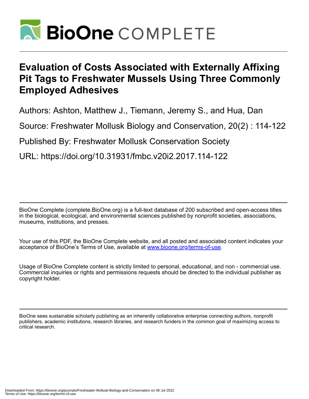

# **Evaluation of Costs Associated with Externally Affixing Pit Tags to Freshwater Mussels Using Three Commonly Employed Adhesives**

Authors: Ashton, Matthew J., Tiemann, Jeremy S., and Hua, Dan

Source: Freshwater Mollusk Biology and Conservation, 20(2) : 114-122

Published By: Freshwater Mollusk Conservation Society

URL: https://doi.org/10.31931/fmbc.v20i2.2017.114-122

BioOne Complete (complete.BioOne.org) is a full-text database of 200 subscribed and open-access titles in the biological, ecological, and environmental sciences published by nonprofit societies, associations, museums, institutions, and presses.

Your use of this PDF, the BioOne Complete website, and all posted and associated content indicates your acceptance of BioOne's Terms of Use, available at www.bioone.org/terms-of-use.

Usage of BioOne Complete content is strictly limited to personal, educational, and non - commercial use. Commercial inquiries or rights and permissions requests should be directed to the individual publisher as copyright holder.

BioOne sees sustainable scholarly publishing as an inherently collaborative enterprise connecting authors, nonprofit publishers, academic institutions, research libraries, and research funders in the common goal of maximizing access to critical research.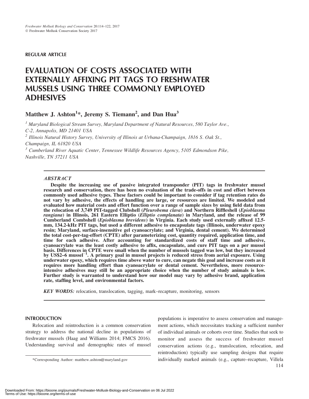# REGULAR ARTICLE

# EVALUATION OF COSTS ASSOCIATED WITH EXTERNALLY AFFIXING PIT TAGS TO FRESHWATER MUSSELS USING THREE COMMONLY EMPLOYED ADHESIVES

# Matthew J. Ashton<sup>1</sup>\*, Jeremy S. Tiemann<sup>2</sup>, and Dan Hua<sup>3</sup>

<sup>1</sup> Maryland Biological Stream Survey, Maryland Department of Natural Resources, 580 Taylor Ave., C-2, Annapolis, MD 21401 USA

<sup>2</sup> Illinois Natural History Survey, University of Illinois at Urbana-Champaign, 1816 S. Oak St., Champaign, IL 61820 USA

 $3$  Cumberland River Aquatic Center, Tennessee Wildlife Resources Agency, 5105 Edmondson Pike, Nashville, TN 37211 USA

# ABSTRACT

Despite the increasing use of passive integrated transponder (PIT) tags in freshwater mussel research and conservation, there has been no evaluation of the trade-offs in cost and effort between commonly used adhesive types. These factors could be important to consider if tag retention rates do not vary by adhesive, the effects of handling are large, or resources are limited. We modeled and evaluated how material costs and effort function over a range of sample sizes by using field data from the relocation of 3,749 PIT-tagged Clubshell (Pleurobema clava) and Northern Riffleshell (Epioblasma rangiana) in Illinois, 261 Eastern Elliptio (Elliptio complanata) in Maryland, and the release of 99 Cumberland Combshell (Epioblasma brevidens) in Virginia. Each study used externally affixed 12.5 mm, 134.2-kHz PIT tags, but used a different adhesive to encapsulate tags (Illinois, underwater epoxy resin; Maryland, surface-insensitive gel cyanoacrylate; and Virginia, dental cement). We determined the total cost-per-tag-effort (CPTE) after parameterizing cost, quantity required, application time, and time for each adhesive. After accounting for standardized costs of staff time and adhesive, cyanoacrylate was the least costly adhesive to affix, encapsulate, and cure PIT tags on a per mussel basis. Differences in CPTE were small when the number of mussels tagged was low, but they increased by US\$2–6 mussel<sup>-1</sup>. A primary goal in mussel projects is reduced stress from aerial exposure. Using underwater epoxy, which requires time above water to cure, can negate this goal and increase costs as it requires more handling effort than cyanoacrylate or dental cement. Nevertheless, more resourceintensive adhesives may still be an appropriate choice when the number of study animals is low. Further study is warranted to understand how our model may vary by adhesive brand, application rate, staffing level, and environmental factors.

KEY WORDS: relocation, translocation, tagging, mark–recapture, monitoring, sensors

# INTRODUCTION

Relocation and reintroduction is a common conservation strategy to address the national decline in populations of freshwater mussels (Haag and Williams 2014; FMCS 2016). Understanding survival and demographic rates of mussel

populations is imperative to assess conservation and management actions, which necessitates tracking a sufficient number of individual animals or cohorts over time. Studies that seek to monitor and assess the success of freshwater mussel conservation actions (e.g., translocation, relocation, and reintroduction) typically use sampling designs that require \*Corresponding Author: matthew.ashton@maryland.gov individually marked animals (e.g., capture–recapture, Villela 114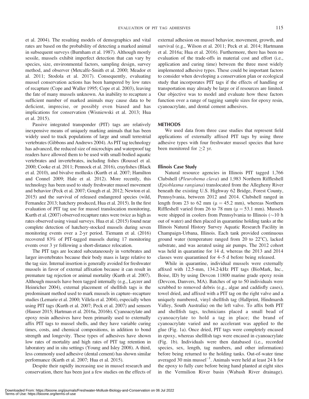studies (Lemarie et al. 2000; Villela et al. 2004), especially when using PIT tags (Kurth et al. 2007; Peck et al. 2007) and sensors (Hauser 2015; Hartman et al. 2016a, 2016b). Cyanoacrylate and epoxy resin adhesives have been primarily used to externally affix PIT tags to mussel shells, and they have variable curing times, costs, and chemical compositions, in addition to bond strength and longevity. These types of adhesives have shown low rates of mortality and high rates of PIT tag retention in laboratory and in situ settings (Young and Isley 2008). A third, less commonly used adhesive (dental cement) has shown similar performance (Kurth et al. 2007; Hua et al. 2015).

events over 3 yr following a short-distance relocation.

The PIT tags are located subcutaneously in vertebrates and larger invertebrates because their body mass is large relative to the tag size. Internal insertion is generally avoided for freshwater mussels in favor of external affixation because it can result in premature tag rejection or animal mortality (Kurth et al. 2007).

et al. 2004). The resulting models of demographics and vital rates are based on the probability of detecting a marked animal in subsequent surveys (Burnham et al. 1987). Although mostly sessile, mussels exhibit imperfect detection that can vary by species, size, environmental factors, sampling design, survey method, and observer (Metcalfe-Smith et al. 2000; Meador et al. 2011; Stodola et al. 2017). Consequently, evaluating mussel conservation actions has been hampered by low rates of recapture (Cope and Waller 1995; Cope et al. 2003), leaving the fate of many mussels unknown. An inability to recapture a sufficient number of marked animals may cause data to be deficient, imprecise, or possibly even biased and has implications for conservation (Wisniewski et al. 2013; Hua

Passive integrated transponder (PIT) tags are relatively inexpensive means of uniquely marking animals that has been widely used to track populations of large and small terrestrial vertebrates (Gibbons and Andrews 2004). As PIT tag technology has advanced, the reduced size of microchips and waterproof tag readers have allowed them to be used with small-bodied aquatic vertebrates and invertebrates, including fishes (Roussel et al. 2000; Cooke et al. 2011; Pennock et al. 2016), crayfishes (Black et al. 2010), and bivalve mollusks (Kurth et al. 2007; Hamilton and Connel 2009; Hale et al. 2012). More recently, this technology has been used to study freshwater mussel movement and behavior (Peck et al. 2007; Gough et al. 2012; Newton et al. 2015) and the survival of released endangered species (wild, Fernandez 2013; hatchery produced, Hua et al. 2015). In the first evaluation of PIT tag use for mussel translocation monitoring, Kurth et al. (2007) observed recapture rates were twice as high as rates observed using visual surveys. Hua et al. (2015) found near complete detection of hatchery-stocked mussels during seven monitoring events over a 2-yr period. Tiemann et al. (2016) recovered 83% of PIT-tagged mussels during 17 monitoring

et al. 2015).

Despite their rapidly increasing use in mussel research and conservation, there has been just a few studies on the effects of

# external adhesion on mussel behavior, movement, growth, and survival (e.g., Wilson et al. 2011; Peck et al. 2014; Hartmann et al. 2016a; Hua et al. 2016). Furthermore, there has been no evaluation of the trade-offs in material cost and effort (i.e., application and curing time) between the three most widely implemented adhesive types. These could be important factors to consider when developing a conservation plan or ecological study that incorporates PIT tags if the effects of handling or transportation may already be large or if resources are limited. Our objective was to model and evaluate how these factors function over a range of tagging sample sizes for epoxy resin, cyanoacrylate, and dental cement adhesives.

# METHODS

We used data from three case studies that represent field applications of externally affixed PIT tags by using three adhesive types with four freshwater mussel species that have been monitored for  $\geq$  yr.

# Illinois Case Study

Natural resource agencies in Illinois PIT tagged 1,766 Clubshell (Pleurobema clava) and 1,983 Northern Riffleshell (Epioblasma rangiana) translocated from the Allegheny River beneath the existing U.S. Highway 62 Bridge, Forest County, Pennsylvania, between 2012 and 2014. Clubshell ranged in length from 23 to 62 mm ( $\mu = 45.2$  mm), whereas Northern Riffleshell varied from 26 to 78 mm ( $\mu$  = 53.1 mm). Mussels were shipped in coolers from Pennsylvania to Illinois  $(\sim 10$  h out of water) and then placed in quarantine holding tanks at the Illinois Natural History Survey Aquatic Research Facility in Champaign-Urbana, Illinois. Each tank provided continuous ground water (temperature ranged from 20 to  $22^{\circ}$ C), lacked substrate, and was aerated using air pumps. The 2012 cohort was held in quarantine for 14 d, whereas the 2013 and 2014 classes were quarantined for 4–5 d before being released.

While in quarantine, individual mussels were externally affixed with 12.5-mm, 134.2-kHz PIT tags (BioMark, Inc., Boise, ID) by using Devcon 11800 marine grade epoxy resin (Devcon, Danvers, MA). Batches of up to 50 individuals were scrubbed to removed debris (e.g., algae and caddisfly cases), towel dried, and affixed with a PIT tag on the right valve and a uniquely numbered, vinyl shellfish tag (Hallprint, Hindmarsh Valley, South Australia) on the left valve. To affix both PIT and shellfish tags, technicians placed a small bead of cyanoacrylate to hold a tag in place; the brand of cyanoacrylate varied and no accelerant was applied to the glue (Fig. 1a). Once dried, PIT tags were completely encased in epoxy, whereas shellfish tags were encased in cyanoacrylate (Fig. 1b). Individuals were then databased (i.e., recorded species, sex, length, tag numbers, and other information) before being returned to the holding tanks. Out-of-water time averaged  $30 \text{ min}$  mussel<sup>-1</sup>. Animals were held at least 24 h for the epoxy to fully cure before being hand planted at eight sites in the Vermilion River basin (Wabash River drainage).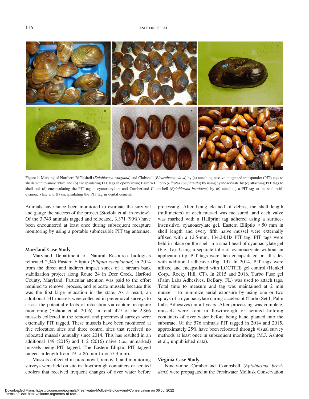

Figure 1. Marking of Northern Riffleshell (Epioblasma rangiana) and Clubshell (Pleurobema clava) by (a) attaching passive integrated transponder (PIT) tags to shells with cyanoacrylate and (b) encapsulating PIT tags in epoxy resin; Eastern Elliptio (Elliptio complanata) by using cyanoacrylate by (c) attaching PIT tags to shell and (d) encapsulating the PIT tag in cyanoacrylate; and Cumberland Combshell (Epioblasma brevidens) by (e) attaching a PIT tag to the shell with cyanoacrylate and (f) encapsulating the PIT tag in dental cement.

Animals have since been monitored to estimate the survival and gauge the success of the project (Stodola et al. in review). Of the 3,749 animals tagged and relocated, 3,371 (90%) have been encountered at least once during subsequent recapture monitoring by using a portable submersible PIT tag antennae.

## Maryland Case Study

Maryland Department of Natural Resource biologists relocated 2,345 Eastern Elliptio (Elliptio complanata) in 2014 from the direct and indirect impact zones of a stream bank stabilization project along Route 24 in Deer Creek, Harford County, Maryland. Particular attention was paid to the effort required to remove, process, and relocate mussels because this was the first large relocation in the state. As a result, an additional 541 mussels were collected in preremoval surveys to assess the potential effects of relocation via capture–recapture monitoring (Ashton et al. 2016). In total, 427 of the 2,866 mussels collected in the removal and preremoval surveys were externally PIT tagged. These mussels have been monitored at five relocation sites and three control sites that received no relocated mussels annually since 2014. This has resulted in an additional 149 (2015) and 112 (2016) naive (i.e., unmarked) mussels being PIT tagged. The Eastern Elliptio PIT tagged ranged in length from 19 to 86 mm ( $\mu = 57.3$  mm).

Mussels collected in preremoval, removal, and monitoring surveys were held on site in flowthrough containers or aerated coolers that received frequent changes of river water before processing. After being cleaned of debris, the shell length (millimeters) of each mussel was measured, and each valve was marked with a Hallprint tag adhered using a surfaceinsensitive, cyanoacrylate gel. Eastern Elliptio  $<$  50 mm in shell length and every fifth naive mussel were externally affixed with a 12.5-mm, 134.2-kHz PIT tag. PIT tags were held in place on the shell in a small bead of cyanoacrylate gel (Fig. 1c). Using a separate tube of cyanoacrylate without an application tip, PIT tags were then encapsulated on all sides with additional adhesive (Fig. 1d). In 2014, PIT tags were affixed and encapsulated with LOCTITE gel control (Henkel Corp., Rocky Hill, CT). In 2015 and 2016, Turbo Fuse gel (Palm Labs Adhesives, DeBary, FL) was used to attach tags. Total time to measure and tag was maintained at 2 min  $mussel^{-1}$  to minimize aerial exposure by using one or two sprays of a cyanoacrylate curing accelerant (Turbo Set I, Palm Labs Adhesives) in all years. After processing was complete, mussels were kept in flowthrough or aerated holding containers of river water before being hand planted into the substrate. Of the 576 animals PIT tagged in 2014 and 2015, approximately 25% have been relocated through visual survey methods at least once in subsequent monitoring (M.J. Ashton et al., unpublished data).

# Virginia Case Study

Ninety-nine Cumberland Combshell (Epioblasma brevidens) were propagated at the Freshwater Mollusk Conservation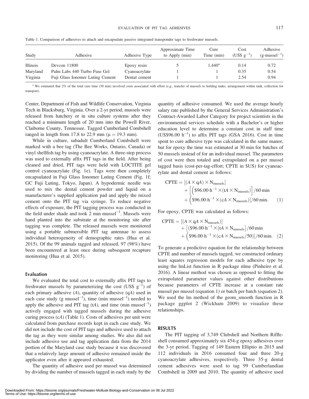| Study           | Adhesive                         | Adhesive Type | Approximate Time<br>to Apply (min) | Cure<br>Time (min) | Cost<br>$(USS \t{g}^{-1})$ | Adhesive<br>$(g\cdot \text{mussel}^{-1})$ |
|-----------------|----------------------------------|---------------|------------------------------------|--------------------|----------------------------|-------------------------------------------|
| <b>Illinois</b> | Devcon 11800                     | Epoxy resin   |                                    | $1.440^{\rm a}$    | 0.14                       | 0.72                                      |
| Maryland        | Palm Labs 440 Turbo Fuse Gel     | Cyanoacrylate |                                    |                    | 0.35                       | 0.54                                      |
| Virginia        | Fuji Glass Ionomer Luting Cement | Dental cement |                                    |                    | 2.54                       | 0.94                                      |

Table 1. Comparison of adhesives to attach and encapsulate passive integrated transponder tags to freshwater mussels.

<sup>a</sup> We estimated that 2% of the total cure time (30 min) involved costs associated with effort (e.g., transfer of mussels to holding tanks, arrangement within tank, collection for transport).

Center, Department of Fish and Wildlife Conservation, Virginia Tech in Blacksburg, Virginia. Over a 2-yr period, mussels were released from hatchery or in situ culture systems after they reached a minimum length of 20 mm into the Powell River, Claiborne County, Tennessee. Tagged Cumberland Combshell ranged in length from 17.8 to 22.9 mm ( $\mu$  = 19.3 mm).

While in culture, subadult Cumberland Combshell were marked with a bee tag (The Bee Works, Ontario, Canada) or vinyl shellfish tag by using cyanoacrylate. A three-step process was used to externally affix PIT tags in the field. After being cleaned and dried, PIT tags were held with LOCTITE gel control cyanoacrylate (Fig. 1e). Tags were then completely encapsulated in Fuji Glass Ionomer Luting Cement (Fig. 1f; GC Fuji Luting, Tokyo, Japan). A hypodermic needle was used to mix the dental cement powder and liquid on a manufacturer's supplied application pad and apply the mixed cement onto the PIT tag via syringe. To reduce negative effects of exposure, the PIT tagging process was conducted in the field under shade and took  $2 \text{ min }$  mussel<sup>-1</sup>. Mussels were hand planted into the substrate at the monitoring site after tagging was complete. The released mussels were monitored using a portable submersible PIT tag antennae to assess individual heterogeneity of demographic rates (Hua et al. 2015). Of the 99 animals tagged and released, 97 (98%) have been encountered at least once during subsequent recapture monitoring (Hua et al. 2015).

## Evaluation

We evaluated the total cost to externally affix PIT tags to freshwater mussels by parameterizing the cost (US\$  $g^{-1}$ ) of each primary adhesive  $(A)$ , quantity of adhesive  $(qA)$  used in each case study (g mussel<sup>-1</sup>), time (min mussel<sup>-1</sup>) needed to apply the adhesive and PIT tag  $(tA)$ , and time  $(min \, muscle^{-1})$ actively engaged with tagged mussels during the adhesive curing process (cA) (Table 1). Costs of adhesives per unit were calculated from purchase records kept in each case study. We did not include the cost of PIT tags and adhesive used to attach the tag as they were similar among studies. We also did not include adhesive use and tag application data from the 2014 portion of the Maryland case study because it was discovered that a relatively large amount of adhesive remained inside the applicator even after it appeared exhausted.

The quantity of adhesive used per mussel was determined by dividing the number of mussels tagged in each study by the quantity of adhesive consumed. We used the average hourly salary rate published by the General Services Administration's Contract-Awarded Labor Category for project scientists in the environmental services schedule with a Bachelor's or higher education level to determine a constant cost in staff time  $(US$96.00 h<sup>-1</sup>)$  to affix PIT tags (GSA 2016). Cost in time spent to cure adhesive type was calculated in the same manor, but for epoxy the time was estimated at 30 min for batches of 50 mussels instead of for an individual mussel. The parameters of cost were then totaled and extrapolated on a per mussel tagged basis (cost-per-tag-effort; CPTE in \$US) for cyanoacrylate and dental cement as follows:

$$
CPTE = [(A \times qA) \times N_{mussels}]
$$
  
+ 
$$
[ ($96.00 \cdot h^{-1} \times (tA \times N_{mussels})] / 60 \text{ min}
$$
  
+ 
$$
($96.00 \cdot h^{-1} \times (cA \times N_{mussels})] / 60 \text{ min.}
$$
 (1)

For epoxy, CPTE was calculated as follows:

$$
CPTE = [(A \times qA \times N_{\text{mussels}})]
$$
  
+ [(\\$96.00 \cdot h<sup>-1</sup> × (tA × N<sub>mussels</sub>]/60 min  
+ (\\$96.00 \cdot h<sup>-1</sup> × (cA × N<sub>mussels</sub>/50)]/60 min. (2)

To generate a predictive equation for the relationship between CPTE and number of mussels tagged, we constructed ordinary least squares regression models for each adhesive type by using the lmList function in R package nlme (Pinheiro et al. 2016). A linear method was chosen as opposed to fitting the extrapolated parameter values against other distributions because parameters of CPTE increase at a constant rate mussel per mussel (equation 1) or batch per batch (equation 2). We used the lm method of the geom\_smooth function in R package ggplot 2 (Wickham 2009) to visualize these relationships.

### RESULTS

The PIT tagging of 3,749 Clubshell and Northern Riffleshell consumed approximately six 454-g epoxy adhesives over the 3-yr period. Tagging of 149 Eastern Elliptio in 2015 and 112 individuals in 2016 consumed four and three 20-g cyanoacrylate adhesives, respectively. Three 35-g dental cement adhesives were used to tag 99 Cumberlandian Combshell in 2009 and 2010. The quantity of adhesive used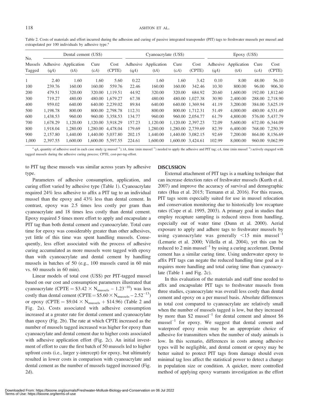Table 2. Costs of materials and effort incurred during the adhesion and curing of passive integrated transponder (PIT) tags to freshwater mussels per mussel and extrapolated per 100 individuals by adhesive type.<sup>a</sup>

| No.                      | Dental cement (US\$) |                              |              |                   | Cyanoacrylate (US\$) |                     |              | Epoxy (US\$)      |                  |                     |              |                 |
|--------------------------|----------------------|------------------------------|--------------|-------------------|----------------------|---------------------|--------------|-------------------|------------------|---------------------|--------------|-----------------|
| <b>Mussels</b><br>Tagged | (qA)                 | Adhesive Application<br>(tA) | Cure<br>(cA) | Cost<br>(CPTE)    | Adhesive<br>(qA)     | Application<br>(tA) | Cure<br>(cA) | Cost<br>(CPTE)    | Adhesive<br>(qA) | Application<br>(tA) | Cure<br>(cA) | Cost<br>(CPTE)  |
|                          | 2.40                 | 1.60                         | 1.60         | 5.60              | 0.22                 | 1.60                | 1.60         | 3.42              | 0.10             | 8.00                | 48.00        | 56.10           |
| 100                      | 239.76               | 160.00                       | 160.00       | 559.76            | 22.46                | 160.00              | 160.00       | 342.46            | 10.30            | 800.00              | 96.00        | 906.30          |
| <b>200</b>               | 479.51               | 320.00                       |              | 320.00 1.119.51   | 44.92                | 320.00              | 320.00       | 684.92            | 20.60            | 1,600.00            | 192.00       | 1,812.60        |
| 300                      | 719.27               | 480.00                       |              | 480.00 1.679.27   | 67.38                | 480.00              | 480.00       | 1.027.38          | 30.90            | 2,400.00            |              | 288.00 2,718.90 |
| 400                      | 959.02               | 640.00                       |              | 640.00 2.239.02   | 89.84                | 640.00              |              | 640.00 1.369.94   | 41.19            | 3,200.00            |              | 384.00 3.625.19 |
| 500                      | 1,198.78             | 800.00                       |              | 800.00 2,798.78   | 112.31               | 800.00              |              | 800.00 1,712.31   | 51.49            | 4,000.00            |              | 480.00 4,531.49 |
| 600                      | 1.438.53             | 960.00                       |              | 960.00 3.358.53   | 134.77               | 960.00              |              | 960.00 2.054.77   | 61.79            | 4,800.00            |              | 576.00 5.437.79 |
| 700                      | 1.678.29             | 1.120.00                     |              | 1.120.00 3.918.29 | 157.23               | 1,120.00            |              | 1.120.00 2.397.23 | 72.09            | 5,600.00            |              | 672.00 6.344.09 |
| 800                      | 1.918.04             | 1.280.00                     | 1.280.00     | 4.478.04          | 179.69               | 1,280.00            |              | 1,280.00 2,739.69 | 82.39            | 6.400.00            |              | 768.00 7,250.39 |
| 900                      | 2.157.80             | 1.440.00                     |              | 1.440.00 5.037.80 | 202.15               | 1,440.00            | 1.440.00     | 3.082.15          | 92.69            | 7,200.00            |              | 864.00 8.156.69 |
| 1,000                    | 2,397.55             | 1,600.00                     |              | 1,600,00 5,597.55 | 224.61               | 1,600.00            |              | 1,600.00 3,424.61 | 102.99           | 8,000.00            |              | 960.00 9.062.99 |

 $^a$  qA, quantity of adhesive used in each case study (g mussel<sup>-1</sup>); tA, time (min mussel<sup>-1</sup>) needed to apply the adhesive and PIT tag; cA, time (min mussel<sup>-1</sup>) actively engaged with tagged mussels during the adhesive curing process; CPTE, cost-per-tag-effort.

to PIT tag these mussels was similar across years by adhesive type.

Parameters of adhesive consumption, application, and curing effort varied by adhesive type (Table 1). Cyanoacrylate required 24% less adhesive to affix a PIT tag to an individual mussel than the epoxy and 43% less than dental cement. In contrast, epoxy was 2.5 times less costly per gram than cyanoacrylate and 18 times less costly than dental cement. Epoxy required 5 times more effort to apply and encapsulate a PIT tag than both dental cement and cyanoacrylate. Total cure time for epoxy was considerably greater than other adhesives, yet little of this time was spent handling mussels. Consequently, less effort associated with the process of adhesive curing accumulated as more mussels were tagged with epoxy than with cyanoacrylate and dental cement by handling mussels in batches of 50 (e.g., 100 mussels cured in 60 min vs. 60 mussels in 60 min).

Linear models of total cost (US\$) per PIT-tagged mussel based on our cost and consumption parameters illustrated that cyanoacrylate (CPTE =  $$3.42 \times N_{\text{mussels}} - 1.23^{-10}$ ) was less costly than dental cement (CPTE =  $$5.60 \times N_{\text{mussels}} - 2.52^{-13}$ ) or epoxy (CPTE =  $$9.04 \times N_{\text{mussels}} + $14.96$ ) (Table 2 and Fig. 2a). Costs associated with adhesive consumption increased at a greater rate for dental cement and cyanoacrylate than epoxy (Fig. 2b). The rate at which CPTE increased as the number of mussels tagged increased was higher for epoxy than cyanoacrylate and dental cement due to higher costs associated with adhesive application effort (Fig. 2c). An initial investment of effort to cure the first batch of 50 mussels led to higher upfront costs (i.e., larger y-intercept) for epoxy, but ultimately resulted in lower costs in comparison with cyanoacrylate and dental cement as the number of mussels tagged increased (Fig. 2d).

### **DISCUSSION**

External attachment of PIT tags is a marking technique that can increase detection rates of freshwater mussels (Kurth et al. 2007) and improve the accuracy of survival and demographic rates (Hua et al. 2015; Tiemann et al. 2016). For this reason, PIT tags seem especially suited for use in mussel relocation and conservation monitoring due to historically low recapture rates (Cope et al. 1995, 2003). A primary goal in studies that employ recapture sampling is reduced stress from handling, especially out of water time (Dunn et al. 2000). Aerial exposure to apply and adhere tags to freshwater mussels by using cyanoacrylate was generally  $\leq 15$  min mussel<sup>-1</sup> (Lemarie et al. 2000; Villella et al. 2004), yet this can be reduced to 2 min mussel<sup> $-1$ </sup> by using a curing accelerant. Dental cement has a similar curing time. Using underwater epoxy to affix PIT tags can negate the reduced handling time goal as it requires more handling and total curing time than cyanoacrylate (Table 1 and Fig. 2c).

In this evaluation of the materials and staff time needed to affix and encapsulate PIT tags to freshwater mussels from three studies, cyanoacrylate was overall less costly than dental cement and epoxy on a per mussel basis. Absolute differences in total cost compared to cyanoacrylate are relatively small when the number of mussels tagged is low, but they increased by more than \$2 mussel<sup>-1</sup> for dental cement and almost \$6  $mussel^{-1}$  for epoxy. We suggest that dental cement and waterproof epoxy resin may be an appropriate choice of adhesive for transmitters when the number of study animals is low. In this scenario, differences in costs among adhesive types will be negligible, and dental cement or epoxy may be better suited to protect PIT tags from damage should even minimal tag loss affect the statistical power to detect a change in population size or condition. A quicker, more controlled method of applying epoxy warrants investigation as the effort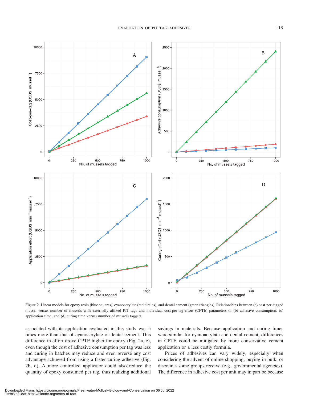

Figure 2. Linear models for epoxy resin (blue squares), cyanoacrylate (red circles), and dental cement (green triangles). Relationships between (a) cost-per-tagged mussel versus number of mussels with externally affixed PIT tags and individual cost-per-tag-effort (CPTE) parameters of (b) adhesive consumption, (c) application time, and (d) curing time versus number of mussels tagged.

associated with its application evaluated in this study was 5 times more than that of cyanoacrylate or dental cement. This difference in effort drove CPTE higher for epoxy (Fig. 2a, c), even though the cost of adhesive consumption per tag was less and curing in batches may reduce and even reverse any cost advantage achieved from using a faster curing adhesive (Fig. 2b, d). A more controlled applicator could also reduce the quantity of epoxy consumed per tag, thus realizing additional

savings in materials. Because application and curing times were similar for cyanoacrylate and dental cement, differences in CPTE could be mitigated by more conservative cement application or a less costly formula.

Prices of adhesives can vary widely, especially when considering the advent of online shopping, buying in bulk, or discounts some groups receive (e.g., governmental agencies). The difference in adhesive cost per unit may in part be because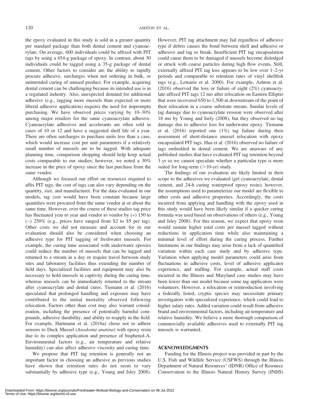the epoxy evaluated in this study is sold in a greater quantity per standard package than both dental cement and cyanoacrylate. On average, 600 individuals could be affixed with PIT tags by using a 454-g package of epoxy. In contrast, about 30 individuals could be tagged using a 35-g package of dental cement. Other factors to consider are the ability to rapidly procure adhesive, surcharges when not ordering in bulk, or unintended curing of unused product. For example, acquiring dental cement can be challenging because its intended use is in a regulated industry. Also, unexpected demand for additional adhesive (e.g., tagging more mussels than expected or more liberal adhesive application) requires the need for impromptu purchasing. We have observed prices varying by 10–30% among major retailers for the same cyanoacrylate adhesive. Cyanoacrylate adhesives and accelerants are often sold in cases of 10 or 12 and have a suggested shelf life of a year. There are often surcharges to purchase units less than a case, which would increase cost per unit parameters if a relatively small number of mussels are to be tagged. With adequate planning time, comparison shopping should help keep actual costs comparable to our studies; however, we noted a 30% increase in the price of epoxy since the last purchase from the same vendor.

Although we focused our effort on resources required to affix PIT tags, the cost of tags can also vary depending on the quantity, size, and manufacturer. For the data evaluated in our models, tag cost would have been constant because large quantities were procured from the same vendor at or about the same time. However, over the course of these studies tag price has fluctuated year to year and vendor to vendor by  $(+)$  150 to (-) 250% (e.g., prices have ranged from \$2 to \$5 per tag). Other costs we did not measure and account for in our evaluation should also be considered when choosing an adhesive type for PIT tagging of freshwater mussels. For example, the curing time associated with underwater epoxies could reduce the number of mussels that can be tagged and returned to a stream in a day or require travel between study sites and laboratory facilities thus extending the number of field days. Specialized facilities and equipment may also be necessary to hold mussels in captivity during the curing time, whereas mussels can be immediately returned to the stream after cyanoacrylate and dental cures. Tiemann et al. (2016) speculated that prolonged handling and exposure may have contributed to the initial mortality observed following relocation. Factors other than cost may also warrant consideration, including the presence of potentially harmful compounds, adhesive durability, and ability to reapply in the field. For example, Hartmann et al. (2016a) chose not to adhere sensors to Duck Mussel (Anodonta anatina) with epoxy resin due to its complex application and presence of bisphenol-A. Environmental factors (e.g., air temperature and relative humidity) can also affect adhesive viscosity and curing time.

We propose that PIT tag retention is generally not an important factor in choosing an adhesive as previous studies have shown that retention rates do not seem to vary substantially by adhesive type (e.g., Young and Isley 2008).

However, PIT tag attachment may fail regardless of adhesive type if debris causes the bond between shell and adhesive or adhesive and tag to break. Insufficient PIT tag encapsulation could cause them to be damaged if mussels become dislodged or struck with coarse particles during high flow events. Still, externally affixed PIT tag loss appears to be low over 1–2-yr periods and comparable to retention rates of vinyl shellfish tags (e.g., Lemarie et al. 2000). For example, Ashton et al. (2016) observed the loss or failure of eight (2%) cyanoacrylate-affixed PIT tags 12 mo after relocation on Eastern Elliptio that were recovered 650 to 1,500 m downstream of the point of their relocation in a coarse substrate stream. Similar levels of tag damage due to cyanoacrylate erosion were observed after 18 mo by Young and Isely (2008), but they observed no tag damage due to adhesive loss for underwater epoxy. Tiemann et al. (2016) reported one (1%) tag failure during their assessment of short-distance mussel relocation with epoxy encapsulated PIT tags. Hua et al. (2016) observed no failure of tags embedded in dental cement. We are unaware of any published studies that have evaluated PIT tag retention beyond 3 yr so we cannot speculate whether a particular type is more suited for long-term  $(>10$ -yr) study.

The findings of our evaluation are likely limited in their scope to the adhesives we evaluated (gel cyanoacrylate, dental cement, and 24-h curing waterproof epoxy resin); however, the assumptions used to parameterize our model are flexible to other costs and adhesive properties. Accordingly, the costs incurred from applying and handling with the epoxy used in this study would have been likely similar if a quicker curing formula was used based on observations of others (e.g., Young and Isley 2008). For this reason, we expect that epoxy resin would sustain higher total costs per mussel tagged without reductions in application time while also maintaining a minimal level of effort during the curing process. Further limitations in our findings may arise from a lack of quantified variation within each case study and by adhesive type. Variation when applying model parameters could arise from fluctuations in adhesive costs, level of adhesive applicator experience, and staffing. For example, actual staff costs incurred in the Illinois and Maryland case studies may have been lower than our model because some tag applicators were volunteers. However, a relocation or reintroduction involving a federally listed, cryptic species may necessitate primary investigators with specialized experience, which could lead to higher salary rates. Added variation could result from adhesive brand and environmental factors, including air temperature and relative humidity. We believe a more thorough comparison of commercially available adhesives used to externally PIT tag mussels is warranted.

#### ACKNOWLEDGMENTS

Funding for the Illinois project was provided in part by the U.S. Fish and Wildlife Service (USFWS) through the Illinois Department of Natural Resources' (IDNR) Office of Resource Conservation to the Illinois Natural History Survey (INHS)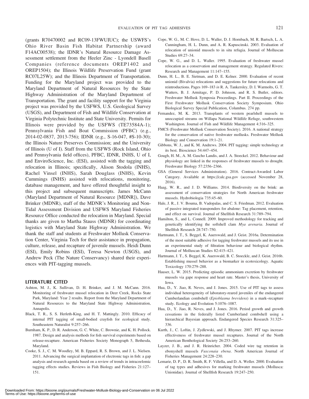(grants R70470002 and RC09-13FWUIUC); the USWFS's Ohio River Basin Fish Habitat Partnership (award F14AC00538); the IDNR's Natural Resource Damage Assessment settlement from the Heeler Zinc - Lyondell Basell Companies (reference documents OREP1402 and OREP1504); the Illinois Wildlife Preservation Fund (grant RC07L25W); and the Illinois Department of Transportation. Funding for the Maryland project was provided to the Maryland Department of Natural Resources by the State Highway Administration of the Maryland Department of Transportation. The grant and facility support for the Virginia project was provided by the USFWS, U.S. Geological Survey (USGS), and Department of Fish and Wildlife Conservation at Virginia Polytechnic Institute and State University. Permits for Illinois were provided by the USFWS (TE73584A-1); Pennsylvania Fish and Boat Commission (PFBC) (e.g., 2014-02-0837, 2013-756); IDNR (e.g., S-16-047, #S-10-30); the Illinois Nature Preserves Commission; and the University of Illinois (U of I). Staff from the USFWS (Rock Island, Ohio and Pennsylvania field offices), PFBC, IDNR, INHS, U of I, and EnviroScience, Inc. (ESI), assisted with the tagging and relocation in Illinois; specifically, Alison Stodola (INHS), Rachel Vinsel (INHS), Sarah Douglass (INHS), Kevin Cummings (INHS) assisted with relocations, monitoring, database management, and have offered thoughtful insight to this project and subsequent manuscripts. James McCann (Maryland Department of Natural Resource [MDNR]), Dave Brinker (MDNR), staff of the MDNR's Monitoring and Non-Tidal Assessment Division and USFWS Maryland Fisheries Resource Office conducted the relocation in Maryland. Special thanks are given to Martha Stauss (MDNR) for coordinating logistics with Maryland State Highway Administration. We thank the staff and students at Freshwater Mollusk Conservation Center, Virginia Tech for their assistance in propagation, culture, release, and recapture of juvenile mussels. Heidi Dunn (ESI), Emily Robins (ESI), Teresa Newton (USGS), and Andrew Peck (The Nature Conservancy) shared their experiences with PIT-tagging mussels.

#### LITERATURE CITED

- Ashton, M. J., K. Sullivan, D. H. Brinker, and J. M. McCann. 2016. Monitoring of freshwater mussel relocation in Deer Creek, Rocks State Park, Maryland: Year 2 results. Report from the Maryland Department of Natural Resources to the Maryland State Highway Administration, Annapolis.
- Black, T. R., S. S. Herleth-King, and H. T. Mattingly. 2010. Efficacy of internal PIT tagging of small-bodied crayfish for ecological study. Southeastern Naturalist 9:257–266.
- Burnham, K. P., D. R. Anderson, G. C. White, C. Brownie, and K. H. Pollock. 1987. Design and analysis methods for fish survival experiments based on release-recapture. American Fisheries Society Monograph 5, Bethesda, Maryland.
- Cooke, S. J., C. M. Woodley, M. B. Eppard, R. S. Brown, and J. L. Nielsen. 2011. Advancing the surgical implantation of electronic tags in fish: a gap analysis and research agenda based on a review of trends in intracoelomic tagging effects studies. Reviews in Fish Biology and Fisheries 21:127– 151.
- Cope, W. G., M. C. Hove, D. L. Waller, D. J. Hornbach, M. R. Bartsch, L. A. Cunningham, H. L. Dunn, and A. R. Kapuscinski. 2003. Evaluation of relocation of unionid mussels to in situ refugia. Journal of Molluscan Studies 69:27–34.
- Cope, W. G., and D. L. Waller. 1995. Evaluation of freshwater mussel relocation as a conservation and management strategy. Regulated Rivers: Research and Management 11:147–155.
- Dunn, H. L., B. E. Sietman, and D. E. Kelner. 2000. Evaluation of recent unionid (Bivalvia) relocations and suggestions for future relocations and reintroductions. Pages 169–183 in R. A. Tankersley, D. I. Warmolts, G. T. Watters, B. J. Armitage, P. D. Johnson, and R. S. Butler, editors. Freshwater Mollusk Symposia Proceedings. Part II. Proceedings of the First Freshwater Mollusk Conservation Society Symposium. Ohio Biological Survey Special Publication, Columbus. 274 pp.
- Fernandez, M. K. 2013. Transplants of western pearlshell mussels to unoccupied streams on Willapa National Wildlife Refuge, southwestern Washington. Journal of Fish and Wildlife Management 4:316–325.
- FMCS (Freshwater Mollusk Conservation Society). 2016. A national strategy for the conservation of native freshwater mollusks. Freshwater Mollusk Biology and Conservation 19:1–21.
- Gibbons, W. J., and K. M. Andrews. 2004. PIT tagging: simple technology at its best. Bioscience 54:447–454.
- Gough, H. M., A. M. Gascho Landis, and J. A. Stoeckel. 2012. Behaviour and physiology are linked in the responses of freshwater mussels to drought. Freshwater Biology 57:2356–2366.
- GSA (General Services Administration). 2016. Contract-Awarded Labor Category. Available at https://calc.gsa.gov (accessed November 28, 2016).
- Haag, W. R., and J. D. Williams. 2014. Biodiversity on the brink: an assessment of conservation strategies for North American freshwater mussels. Hydrobiologia 735:45–60.
- Hale, J. R., J. V. Bouma, B. Vadopalas, and C. S. Friedman. 2012. Evaluation of passive integrated transponders for abalone: Tag placement, retention, and effect on survival. Journal of Shellfish Research 31:789–794.
- Hamilton, S., and L. Connell. 2009. Improved methodology for tracking and genetically identifying the softshell clam Mya arenaria. Journal of Shellfish Research 28:747–750.
- Hartmann, J. T., S. Beggel, K. Auerswald, and J. Geist. 2016a. Determination of the most suitable adhesive for tagging freshwater mussels and its use in an experimental study of filtration behaviour and biological rhythm. Journal of Molluscan Studies 82:415–421.
- Hartmann, J. T., S. Beggel, K. Auerswald, B. C. Stoeckle, and J. Geist. 2016b. Establishing mussel behavior as a biomarker in ecotoxicology. Aquatic Toxicology 170:279–288.
- Hauser, L. W. 2015. Predicting episodic ammonium excretion by freshwater mussels via gape response and heart rate. Master's thesis, University of Iowa.
- Hua, D., Y. Jiao, R. Neves, and J. Jones. 2015. Use of PIT tags to assess individual heterogeneity of laboratory-reared juveniles of the endangered Cumberlandian combshell (Epioblasma brevidens) in a mark–recapture study. Ecology and Evolution 5:1076–1087.
- Hua, D., Y. Jiao, R. Neves, and J. Jones. 2016. Period growth and growth cessations in the federally listed Cumberland combshell using a hierarchical Bayesian approach. Endangered Species Research 31:325– 336.
- Kurth, J., C. Loftin, J. Zydlewski, and J. Rhymer. 2007. PIT tags increase effectiveness of freshwater mussel recaptures. Journal of the North American Benthological Society 26:253–260.
- Layzer, J. B., and J. R. Heinricher. 2004. Coded wire tag retention in ebonyshell mussels Fusconaia ebena. North American Journal of Fisheries Management 24:228–230.
- Lemarie, D. P., D. R. Smith, R. F. Villella, and D. A. Weller. 2000. Evaluation of tag types and adhesives for marking freshwater mussels (Mollusca: Unionidae). Journal of Shellfish Research 19:247–250.